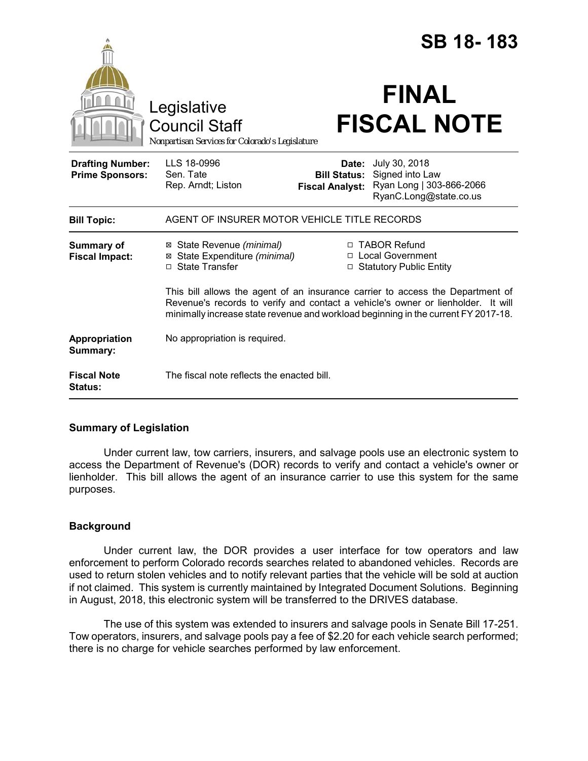|                                                   |                                                                                                                                                                                                                                                          |                                                        | SB 18-183                                                                              |  |
|---------------------------------------------------|----------------------------------------------------------------------------------------------------------------------------------------------------------------------------------------------------------------------------------------------------------|--------------------------------------------------------|----------------------------------------------------------------------------------------|--|
|                                                   | Legislative<br><b>Council Staff</b><br>Nonpartisan Services for Colorado's Legislature                                                                                                                                                                   |                                                        | <b>FINAL</b><br><b>FISCAL NOTE</b>                                                     |  |
| <b>Drafting Number:</b><br><b>Prime Sponsors:</b> | LLS 18-0996<br>Sen. Tate<br>Rep. Arndt; Liston                                                                                                                                                                                                           | Date:<br><b>Bill Status:</b><br><b>Fiscal Analyst:</b> | July 30, 2018<br>Signed into Law<br>Ryan Long   303-866-2066<br>RyanC.Long@state.co.us |  |
| <b>Bill Topic:</b>                                | AGENT OF INSURER MOTOR VEHICLE TITLE RECORDS                                                                                                                                                                                                             |                                                        |                                                                                        |  |
| <b>Summary of</b><br><b>Fiscal Impact:</b>        | ⊠ State Revenue (minimal)<br>⊠ State Expenditure (minimal)<br>□ State Transfer                                                                                                                                                                           |                                                        | □ TABOR Refund<br>□ Local Government<br>□ Statutory Public Entity                      |  |
|                                                   | This bill allows the agent of an insurance carrier to access the Department of<br>Revenue's records to verify and contact a vehicle's owner or lienholder. It will<br>minimally increase state revenue and workload beginning in the current FY 2017-18. |                                                        |                                                                                        |  |
| Appropriation<br>Summary:                         | No appropriation is required.                                                                                                                                                                                                                            |                                                        |                                                                                        |  |
| <b>Fiscal Note</b><br><b>Status:</b>              | The fiscal note reflects the enacted bill.                                                                                                                                                                                                               |                                                        |                                                                                        |  |

# **Summary of Legislation**

Under current law, tow carriers, insurers, and salvage pools use an electronic system to access the Department of Revenue's (DOR) records to verify and contact a vehicle's owner or lienholder. This bill allows the agent of an insurance carrier to use this system for the same purposes.

# **Background**

Under current law, the DOR provides a user interface for tow operators and law enforcement to perform Colorado records searches related to abandoned vehicles. Records are used to return stolen vehicles and to notify relevant parties that the vehicle will be sold at auction if not claimed. This system is currently maintained by Integrated Document Solutions. Beginning in August, 2018, this electronic system will be transferred to the DRIVES database.

The use of this system was extended to insurers and salvage pools in Senate Bill 17-251. Tow operators, insurers, and salvage pools pay a fee of \$2.20 for each vehicle search performed; there is no charge for vehicle searches performed by law enforcement.